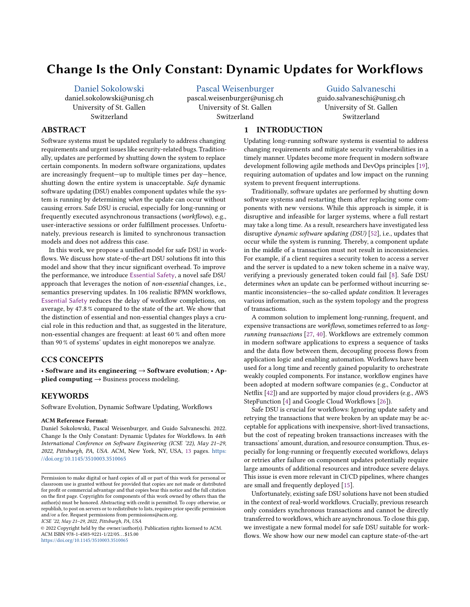# Change Is the Only Constant: Dynamic Updates for Workflows

Daniel Sokolowski

daniel.sokolowski@unisg.ch University of St. Gallen Switzerland

Pascal Weisenburger

pascal.weisenburger@unisg.ch University of St. Gallen Switzerland

# Guido Salvaneschi

guido.salvaneschi@unisg.ch University of St. Gallen Switzerland

# ABSTRACT

Software systems must be updated regularly to address changing requirements and urgent issues like security-related bugs. Traditionally, updates are performed by shutting down the system to replace certain components. In modern software organizations, updates are increasingly frequent—up to multiple times per day—hence, shutting down the entire system is unacceptable. Safe dynamic software updating (DSU) enables component updates while the system is running by determining when the update can occur without causing errors. Safe DSU is crucial, especially for long-running or frequently executed asynchronous transactions (workflows), e.g., user-interactive sessions or order fulfillment processes. Unfortunately, previous research is limited to synchronous transaction models and does not address this case.

In this work, we propose a unified model for safe DSU in workflows. We discuss how state-of-the-art DSU solutions fit into this model and show that they incur significant overhead. To improve the performance, we introduce Essential Safety, a novel safe DSU approach that leverages the notion of non-essential changes, i.e., semantics preserving updates. In 106 realistic BPMN workflows, Essential Safety reduces the delay of workflow completions, on average, by 47.8 % compared to the state of the art. We show that the distinction of essential and non-essential changes plays a crucial role in this reduction and that, as suggested in the literature, non-essential changes are frequent: at least 60 % and often more than 90 % of systems' updates in eight monorepos we analyze.

# CCS CONCEPTS

· Software and its engineering → Software evolution; · Applied computing  $\rightarrow$  Business process modeling.

# KEYWORDS

Software Evolution, Dynamic Software Updating, Workflows

#### ACM Reference Format:

Daniel Sokolowski, Pascal Weisenburger, and Guido Salvaneschi. 2022. Change Is the Only Constant: Dynamic Updates for Workflows. In 44th International Conference on Software Engineering (ICSE '22), May 21-29, 2022, Pittsburgh, PA, USA. ACM, New York, NY, USA, 13 pages. https: //doi.org/10.1145/3510003.3510065

ICSE '22, May 21-29, 2022, Pittsburgh, PA, USA

© 2022 Copyright held by the owner/author(s). Publication rights licensed to ACM. ACM ISBN 978-1-4503-9221-1/22/05. . . \$15.00 https://doi.org/10.1145/3510003.3510065

# 1 INTRODUCTION

Updating long-running software systems is essential to address changing requirements and mitigate security vulnerabilities in a timely manner. Updates become more frequent in modern software development following agile methods and DevOps principles [19], requiring automation of updates and low impact on the running system to prevent frequent interruptions.

Traditionally, software updates are performed by shutting down software systems and restarting them after replacing some components with new versions. While this approach is simple, it is disruptive and infeasible for larger systems, where a full restart may take a long time. As a result, researchers have investigated less disruptive dynamic software updating (DSU) [52], i.e., updates that occur while the system is running. Thereby, a component update in the middle of a transaction must not result in inconsistencies. For example, if a client requires a security token to access a server and the server is updated to a new token scheme in a naïve way, verifying a previously generated token could fail [8]. Safe DSU determines when an update can be performed without incurring semantic inconsistencies-the so-called update condition. It leverages various information, such as the system topology and the progress of transactions.

A common solution to implement long-running, frequent, and expensive transactions are workflows, sometimes referred to as longrunning transactions [27, 40]. Workflows are extremely common in modern software applications to express a sequence of tasks and the data flow between them, decoupling process flows from application logic and enabling automation. Workflows have been used for a long time and recently gained popularity to orchestrate weakly coupled components. For instance, workflow engines have been adopted at modern software companies (e.g., Conductor at Netflix [42]) and are supported by major cloud providers (e.g., AWS StepFunction [4] and Google Cloud Workflows [26]).

Safe DSU is crucial for workflows: Ignoring update safety and retrying the transactions that were broken by an update may be acceptable for applications with inexpensive, short-lived transactions, but the cost of repeating broken transactions increases with the transactions' amount, duration, and resource consumption. Thus, especially for long-running or frequently executed workflows, delays or retries after failure on component updates potentially require large amounts of additional resources and introduce severe delays. This issue is even more relevant in CI/CD pipelines, where changes are small and frequently deployed [15].

Unfortunately, existing safe DSU solutions have not been studied in the context of real-world workflows. Crucially, previous research only considers synchronous transactions and cannot be directly transferred to workflows, which are asynchronous. To close this gap, we investigate a new formal model for safe DSU suitable for workflows. We show how our new model can capture state-of-the-art

Permission to make digital or hard copies of all or part of this work for personal or classroom use is granted without fee provided that copies are not made or distributed for profit or commercial advantage and that copies bear this notice and the full citation on the first page. Copyrights for components of this work owned by others than the author(s) must be honored. Abstracting with credit is permitted. To copy otherwise, or republish, to post on servers or to redistribute to lists, requires prior specific permission and/or a fee. Request permissions from permissions@acm.org.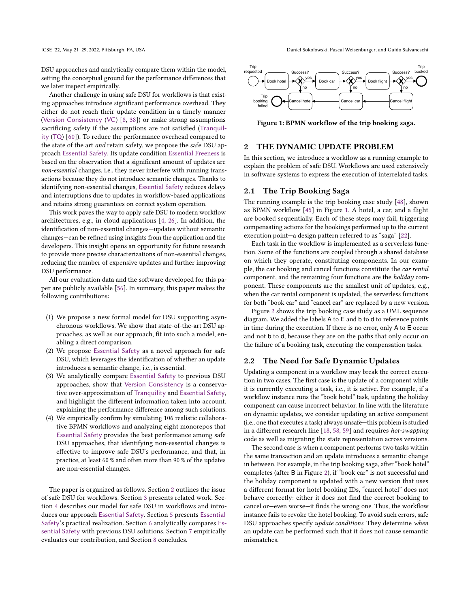DSU approaches and analytically compare them within the model, setting the conceptual ground for the performance differences that we later inspect empirically.

Another challenge in using safe DSU for workflows is that existing approaches introduce significant performance overhead. They either do not reach their update condition in a timely manner (Version Consistency (VC) [8, 38]) or make strong assumptions sacrificing safety if the assumptions are not satisfied (Tranquility (TQ) [60]). To reduce the performance overhead compared to the state of the art and retain safety, we propose the safe DSU approach Essential Safety. Its update condition Essential Freeness is based on the observation that a significant amount of updates are non-essential changes, i.e., they never interfere with running transactions because they do not introduce semantic changes. Thanks to identifying non-essential changes, Essential Safety reduces delays and interruptions due to updates in workflow-based applications and retains strong guarantees on correct system operation.

This work paves the way to apply safe DSU to modern workflow architectures, e.g., in cloud applications [4, 26]. In addition, the identification of non-essential changes-updates without semantic changes-can be refined using insights from the application and the developers. This insight opens an opportunity for future research to provide more precise characterizations of non-essential changes, reducing the number of expensive updates and further improving DSU performance.

All our evaluation data and the software developed for this paper are publicly available [56]. In summary, this paper makes the following contributions:

- (1) We propose a new formal model for DSU supporting asynchronous workflows. We show that state-of-the-art DSU approaches, as well as our approach, fit into such a model, enabling a direct comparison.
- (2) We propose Essential Safety as a novel approach for safe DSU, which leverages the identification of whether an update introduces a semantic change, i.e., is essential.
- (3) We analytically compare Essential Safety to previous DSU approaches, show that Version Consistency is a conservative over-approximation of Tranquility and Essential Safety, and highlight the different information taken into account, explaining the performance difference among such solutions.
- (4) We empirically confirm by simulating 106 realistic collaborative BPMN workflows and analyzing eight monorepos that Essential Safety provides the best performance among safe DSU approaches, that identifying non-essential changes is effective to improve safe DSU's performance, and that, in practice, at least 60 % and often more than 90 % of the updates are non-essential changes.

The paper is organized as follows. Section 2 outlines the issue of safe DSU for workflows. Section 3 presents related work. Section 4 describes our model for safe DSU in workflows and introduces our approach Essential Safety. Section 5 presents Essential Safety's practical realization. Section 6 analytically compares Essential Safety with previous DSU solutions. Section 7 empirically evaluates our contribution, and Section 8 concludes.



Figure 1: BPMN workflow of the trip booking saga.

# 2 THE DYNAMIC UPDATE PROBLEM

In this section, we introduce a workflow as a running example to explain the problem of safe DSU. Workflows are used extensively in software systems to express the execution of interrelated tasks.

## 2.1 The Trip Booking Saga

The running example is the trip booking case study [48], shown as BPMN workflow [45] in Figure 1. A hotel, a car, and a flight are booked sequentially. Each of these steps may fail, triggering compensating actions for the bookings performed up to the current execution point-a design pattern referred to as "saga" [22].

Each task in the workflow is implemented as a serverless function. Some of the functions are coupled through a shared database on which they operate, constituting components. In our example, the car booking and cancel functions constitute the car rental component, and the remaining four functions are the holiday component. These components are the smallest unit of updates, e.g., when the car rental component is updated, the serverless functions for both "book car" and "cancel car" are replaced by a new version.

Figure 2 shows the trip booking case study as a UML sequence diagram. We added the labels A to E and b to d to reference points in time during the execution. If there is no error, only A to E occur and not b to d, because they are on the paths that only occur on the failure of a booking task, executing the compensation tasks.

# 2.2 The Need for Safe Dynamic Updates

Updating a component in a workflow may break the correct execution in two cases. The first case is the update of a component while it is currently executing a task, i.e., it is active. For example, if a workflow instance runs the "book hotel" task, updating the holiday component can cause incorrect behavior. In line with the literature on dynamic updates, we consider updating an active component (i.e., one that executes a task) always unsafe-this problem is studied in a different research line [18, 58, 59] and requires hot-swapping code as well as migrating the state representation across versions.

The second case is when a component performs two tasks within the same transaction and an update introduces a semantic change in between. For example, in the trip booking saga, after "book hotel" completes (after B in Figure 2), if "book car" is not successful and the holiday component is updated with a new version that uses a different format for hotel booking IDs, "cancel hotel" does not behave correctly: either it does not find the correct booking to cancel or-even worse-it finds the wrong one. Thus, the workflow instance fails to revoke the hotel booking. To avoid such errors, safe DSU approaches specify update conditions. They determine when an update can be performed such that it does not cause semantic mismatches.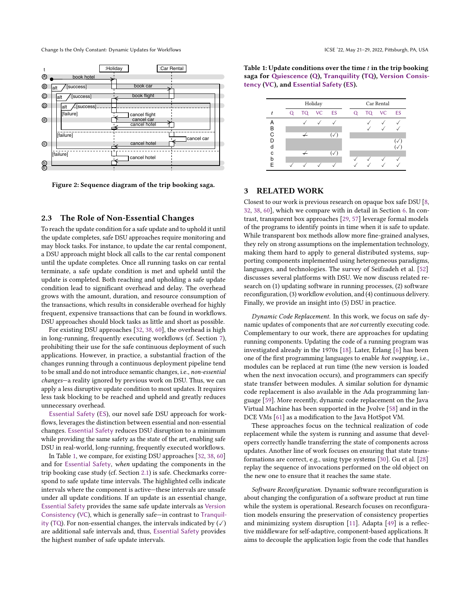

Figure 2: Sequence diagram of the trip booking saga.

## 2.3 The Role of Non-Essential Changes

To reach the update condition for a safe update and to uphold it until the update completes, safe DSU approaches require monitoring and may block tasks. For instance, to update the car rental component, a DSU approach might block all calls to the car rental component until the update completes. Once all running tasks on car rental terminate, a safe update condition is met and upheld until the update is completed. Both reaching and upholding a safe update condition lead to significant overhead and delay. The overhead grows with the amount, duration, and resource consumption of the transactions, which results in considerable overhead for highly frequent, expensive transactions that can be found in workflows. DSU approaches should block tasks as little and short as possible.

For existing DSU approaches [32, 38, 60], the overhead is high in long-running, frequently executing workflows (cf. Section 7), prohibiting their use for the safe continuous deployment of such applications. However, in practice, a substantial fraction of the changes running through a continuous deployment pipeline tend to be small and do not introduce semantic changes, i.e., non-essential changes—a reality ignored by previous work on DSU. Thus, we can apply a less disruptive update condition to most updates. It requires less task blocking to be reached and upheld and greatly reduces unnecessary overhead.

Essential Safety (ES), our novel safe DSU approach for workflows, leverages the distinction between essential and non-essential changes. Essential Safety reduces DSU disruption to a minimum while providing the same safety as the state of the art, enabling safe DSU in real-world, long-running, frequently executed workflows.

In Table 1, we compare, for existing DSU approaches [32, 38, 60] and for Essential Safety, when updating the components in the trip booking case study (cf. Section 2.1) is safe. Checkmarks correspond to safe update time intervals. The highlighted cells indicate intervals where the component is active-these intervals are unsafe under all update conditions. If an update is an essential change, Essential Safety provides the same safe update intervals as Version Consistency (VC), which is generally safe-in contrast to Tranquility (TQ). For non-essential changes, the intervals indicated by  $(\checkmark)$ are additional safe intervals and, thus, Essential Safety provides the highest number of safe update intervals.

Table 1: Update conditions over the time  $t$  in the trip booking saga for Quiescence (Q), Tranquility (TQ), Version Consistency (VC), and Essential Safety (ES).



# 3 RELATED WORK

Closest to our work is previous research on opaque box safe DSU [8, 32, 38, 60], which we compare with in detail in Section 6. In contrast, transparent box approaches [29, 57] leverage formal models of the programs to identify points in time when it is safe to update. While transparent box methods allow more fine-grained analyses, they rely on strong assumptions on the implementation technology, making them hard to apply to general distributed systems, supporting components implemented using heterogeneous paradigms, languages, and technologies. The survey of Seifzadeh et al. [52] discusses several platforms with DSU. We now discuss related research on (1) updating software in running processes, (2) software reconfiguration, (3) workflow evolution, and (4) continuous delivery. Finally, we provide an insight into (5) DSU in practice.

Dynamic Code Replacement. In this work, we focus on safe dynamic updates of components that are not currently executing code. Complementary to our work, there are approaches for updating running components. Updating the code of a running program was investigated already in the 1970s [18]. Later, Erlang [6] has been one of the first programming languages to enable hot swapping, i.e., modules can be replaced at run time (the new version is loaded when the next invocation occurs), and programmers can specify state transfer between modules. A similar solution for dynamic code replacement is also available in the Ada programming language [59]. More recently, dynamic code replacement on the Java Virtual Machine has been supported in the Jvolve [58] and in the DCE VMs [61] as a modification to the Java HotSpot VM.

These approaches focus on the technical realization of code replacement while the system is running and assume that developers correctly handle transferring the state of components across updates. Another line of work focuses on ensuring that state transformations are correct, e.g., using type systems [30]. Gu et al. [28] replay the sequence of invocations performed on the old object on the new one to ensure that it reaches the same state.

Software Reconfiguration. Dynamic software reconfiguration is about changing the configuration of a software product at run time while the system is operational. Research focuses on reconfiguration models ensuring the preservation of consistency properties and minimizing system disruption [11]. Adapta [49] is a reflective middleware for self-adaptive, component-based applications. It aims to decouple the application logic from the code that handles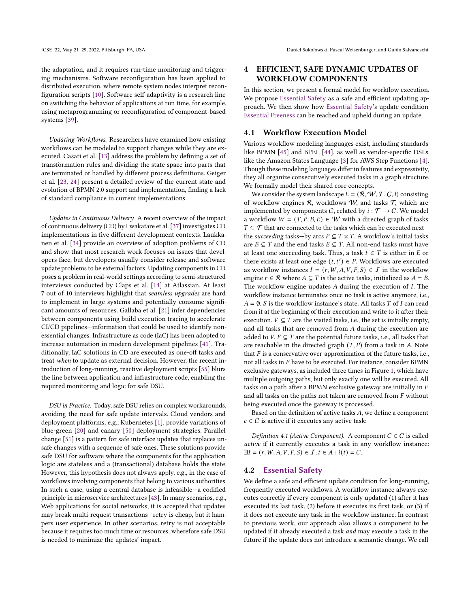the adaptation, and it requires run-time monitoring and triggering mechanisms. Software reconfiguration has been applied to distributed execution, where remote system nodes interpret reconfiguration scripts [10]. Software self-adaptivity is a research line on switching the behavior of applications at run time, for example, using metaprogramming or reconfiguration of component-based systems [39].

Updating Workflows. Researchers have examined how existing workflows can be modeled to support changes while they are executed. Casati et al. [13] address the problem by defining a set of transformation rules and dividing the state space into parts that are terminated or handled by different process definitions. Geiger et al. [23, 24] present a detailed review of the current state and evolution of BPMN 2.0 support and implementation, finding a lack of standard compliance in current implementations.

Updates in Continuous Delivery. A recent overview of the impact of continuous delivery (CD) by Lwakatare et al. [37] investigates CD implementations in five different development contexts. Laukkanen et al. [34] provide an overview of adoption problems of CD and show that most research work focuses on issues that developers face, but developers usually consider release and software update problems to be external factors. Updating components in CD poses a problem in real-world settings according to semi-structured interviews conducted by Claps et al. [14] at Atlassian. At least 7 out of 10 interviews highlight that seamless upgrades are hard to implement in large systems and potentially consume significant amounts of resources. Gallaba et al. [21] infer dependencies between components using build execution tracing to accelerate CI/CD pipelines-information that could be used to identify nonessential changes. Infrastructure as code (IaC) has been adopted to increase automation in modern development pipelines [41]. Traditionally, IaC solutions in CD are executed as one-off tasks and treat when to update as external decision. However, the recent introduction of long-running, reactive deployment scripts [55] blurs the line between application and infrastructure code, enabling the required monitoring and logic for safe DSU.

DSU in Practice. Today, safe DSU relies on complex workarounds, avoiding the need for safe update intervals. Cloud vendors and deployment platforms, e.g., Kubernetes [1], provide variations of blue-green [20] and canary [50] deployment strategies. Parallel change [51] is a pattern for safe interface updates that replaces unsafe changes with a sequence of safe ones. These solutions provide safe DSU for software where the components for the application logic are stateless and a (transactional) database holds the state. However, this hypothesis does not always apply, e.g., in the case of workflows involving components that belong to various authorities. In such a case, using a central database is infeasible-a codified principle in microservice architectures [43]. In many scenarios, e.g., Web applications for social networks, it is accepted that updates may break multi-request transactions-retry is cheap, but it hampers user experience. In other scenarios, retry is not acceptable because it requires too much time or resources, wherefore safe DSU is needed to minimize the updates' impact.

# 4 EFFICIENT, SAFE DYNAMIC UPDATES OF WORKFLOW COMPONENTS

In this section, we present a formal model for workflow execution. We propose Essential Safety as a safe and efficient updating approach. We then show how Essential Safety's update condition Essential Freeness can be reached and upheld during an update.

# 4.1 Workflow Execution Model

Various workflow modeling languages exist, including standards like BPMN [45] and BPEL [44], as well as vendor-specific DSLs like the Amazon States Language [3] for AWS Step Functions [4]. Though these modeling languages differ in features and expressivity, they all organize consecutively executed tasks in a graph structure. We formally model their shared core concepts.

We consider the system landscape  $L = (\mathcal{R}, \mathcal{W}, \mathcal{T}, C, i)$  consisting of workflow engines  $R$ , workflows  $W$ , and tasks  $T$ , which are implemented by components C, related by  $i : \mathcal{T} \to C$ . We model a workflow  $W = (T, P, B, E) \in W$  with a directed graph of tasks  $T \subseteq \mathcal{T}$  that are connected to the tasks which can be executed next the succeeding tasks—by arcs  $P \subseteq T \times T$ . A workflow's initial tasks are  $B \subseteq T$  and the end tasks  $E \subseteq T$ . All non-end tasks must have at least one succeeding task. Thus, a task  $t \in T$  is either in  $E$  or there exists at least one edge  $(t, t') \in P$ . Workflows are executed as workflow instances  $I = (r, W, A, V, F, S) \in \mathcal{I}$  in the workflow engine  $r \in \mathcal{R}$  where  $A \subseteq T$  is the active tasks, initialized as  $A = B$ . The workflow engine updates  $A$  during the execution of  $I$ . The workflow instance terminates once no task is active anymore, i.e.,  $A = \emptyset$ . S is the workflow instance's state. All tasks  $T$  of  $I$  can read from it at the beginning of their execution and write to it after their execution.  $V \subseteq T$  are the visited tasks, i.e., the set is initially empty, and all tasks that are removed from  $A$  during the execution are added to V.  $F \subseteq T$  are the potential future tasks, i.e., all tasks that are reachable in the directed graph  $(T, P)$  from a task in  $A$ . Note that  $F$  is a conservative over-approximation of the future tasks, i.e., not all tasks in  $F$  have to be executed. For instance, consider BPMN exclusive gateways, as included three times in Figure 1, which have multiple outgoing paths, but only exactly one will be executed. All tasks on a path after a BPMN exclusive gateway are initially in  $F$ and all tasks on the paths not taken are removed from  $F$  without being executed once the gateway is processed.

Based on the definition of active tasks  $A$ , we define a component  $c \in C$  is active if it executes any active task:

Definition 4.1 (Active Component). A component  $C \in \mathcal{C}$  is called active if it currently executes a task in any workflow instance:  $\exists I = (r, W, A, V, F, S) \in I, t \in A : i(t) = C.$ 

#### 4.2 Essential Safety

We define a safe and efficient update condition for long-running, frequently executed workflows. A workflow instance always executes correctly if every component is only updated (1) after it has executed its last task, (2) before it executes its first task, or (3) if it does not execute any task in the workflow instance. In contrast to previous work, our approach also allows a component to be updated if it already executed a task and may execute a task in the future if the update does not introduce a semantic change. We call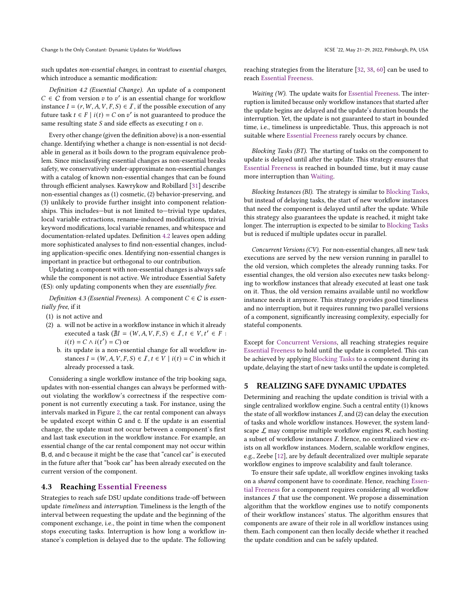such updates non-essential changes, in contrast to essential changes, which introduce a semantic modification:

Definition 4.2 (Essential Change). An update of a component  $C \in C$  from version  $v$  to  $v'$  is an essential change for workflow instance  $I = (r, W, A, V, F, S) \in I$ , if the possible execution of any future task  $t \in F \mid i(t) = C$  on  $v'$  is not guaranteed to produce the same resulting state  $S$  and side effects as executing  $t$  on  $v$ .

Every other change (given the definition above) is a non-essential change. Identifying whether a change is non-essential is not decidable in general as it boils down to the program equivalence problem. Since misclassifying essential changes as non-essential breaks safety, we conservatively under-approximate non-essential changes with a catalog of known non-essential changes that can be found through efficient analyses. Kawrykow and Robillard [31] describe non-essential changes as (1) cosmetic, (2) behavior-preserving, and (3) unlikely to provide further insight into component relationships. This includes-but is not limited to-trivial type updates, local variable extractions, rename-induced modifications, trivial keyword modifications, local variable renames, and whitespace and documentation-related updates. Definition 4.2 leaves open adding more sophisticated analyses to find non-essential changes, including application-specific ones. Identifying non-essential changes is important in practice but orthogonal to our contribution.

Updating a component with non-essential changes is always safe while the component is not active. We introduce Essential Safety (ES): only updating components when they are essentially free.

Definition 4.3 (Essential Freeness). A component  $C \in \mathbb{C}$  is essentially free, if it

- (1) is not active and
- (2) a. will not be active in a workflow instance in which it already executed a task  $(\nexists I = (W, A, V, F, S) \in I, t \in V, t' \in F:$  $i(t) = C \wedge i(t') = C$  or
	- b. its update is a non-essential change for all workflow instances  $I = (W, A, V, F, S) \in I$ ,  $t \in V \mid i(t) = C$  in which it already processed a task.

Considering a single workflow instance of the trip booking saga, updates with non-essential changes can always be performed without violating the workflow's correctness if the respective component is not currently executing a task. For instance, using the intervals marked in Figure 2, the car rental component can always be updated except within C and c. If the update is an essential change, the update must not occur between a component's first and last task execution in the workflow instance. For example, an essential change of the car rental component may not occur within B, d, and c because it might be the case that "cancel car" is executed in the future after that "book car" has been already executed on the current version of the component.

## 4.3 Reaching Essential Freeness

Strategies to reach safe DSU update conditions trade-off between update timeliness and interruption. Timeliness is the length of the interval between requesting the update and the beginning of the component exchange, i.e., the point in time when the component stops executing tasks. Interruption is how long a workflow instance's completion is delayed due to the update. The following

reaching strategies from the literature [32, 38, 60] can be used to reach Essential Freeness.

Waiting (W). The update waits for Essential Freeness. The interruption is limited because only workflow instances that started after the update begins are delayed and the update's duration bounds the interruption. Yet, the update is not guaranteed to start in bounded time, i.e., timeliness is unpredictable. Thus, this approach is not suitable where Essential Freeness rarely occurs by chance.

Blocking Tasks (BT). The starting of tasks on the component to update is delayed until after the update. This strategy ensures that Essential Freeness is reached in bounded time, but it may cause more interruption than Waiting.

Blocking Instances (BI). The strategy is similar to Blocking Tasks, but instead of delaying tasks, the start of new workflow instances that need the component is delayed until after the update. While this strategy also guarantees the update is reached, it might take longer. The interruption is expected to be similar to Blocking Tasks but is reduced if multiple updates occur in parallel.

Concurrent Versions (CV). For non-essential changes, all new task executions are served by the new version running in parallel to the old version, which completes the already running tasks. For essential changes, the old version also executes new tasks belonging to workflow instances that already executed at least one task on it. Thus, the old version remains available until no workflow instance needs it anymore. This strategy provides good timeliness and no interruption, but it requires running two parallel versions of a component, significantly increasing complexity, especially for stateful components.

Except for Concurrent Versions, all reaching strategies require Essential Freeness to hold until the update is completed. This can be achieved by applying Blocking Tasks to a component during its update, delaying the start of new tasks until the update is completed.

# 5 REALIZING SAFE DYNAMIC UPDATES

Determining and reaching the update condition is trivial with a single centralized workflow engine. Such a central entity (1) knows the state of all workflow instances  $I$ , and (2) can delay the execution of tasks and whole workflow instances. However, the system landscape  $\mathcal L$  may comprise multiple workflow engines  $\mathcal R$ , each hosting a subset of workflow instances I. Hence, no centralized view exists on all workflow instances. Modern, scalable workflow engines, e.g., Zeebe [12], are by default decentralized over multiple separate workflow engines to improve scalability and fault tolerance.

To ensure their safe update, all workflow engines invoking tasks on a shared component have to coordinate. Hence, reaching Essential Freeness for a component requires considering all workflow instances  $I$  that use the component. We propose a dissemination algorithm that the workflow engines use to notify components of their workflow instances' status. The algorithm ensures that components are aware of their role in all workflow instances using them. Each component can then locally decide whether it reached the update condition and can be safely updated.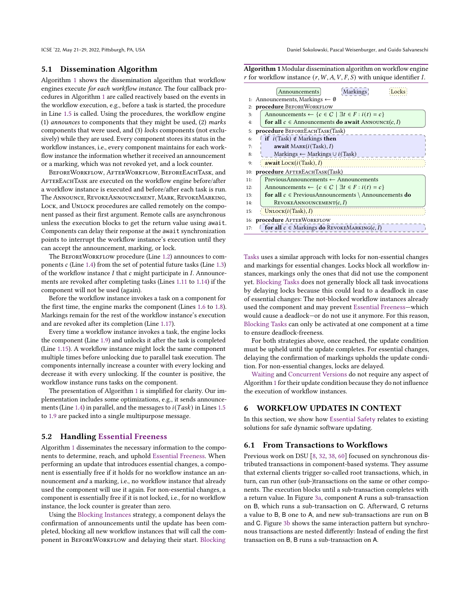# 5.1 Dissemination Algorithm

Algorithm 1 shows the dissemination algorithm that workflow engines execute for each workflow instance. The four callback procedures in Algorithm 1 are called reactively based on the events in the workflow execution, e.g., before a task is started, the procedure in Line 1.5 is called. Using the procedures, the workflow engine (1) announces to components that they might be used, (2) marks components that were used, and (3) locks components (not exclusively) while they are used. Every component stores its status in the workflow instances, i.e., every component maintains for each workflow instance the information whether it received an announcement or a marking, which was not revoked yet, and a lock counter.

BeforeWorkflow, AfterWorkflow, BeforeEachTask, and AFTEREACHTASK are executed on the workflow engine before/after a workflow instance is executed and before/after each task is run. The Announce, RevokeAnnouncement, Mark, RevokeMarking, LOCK, and UNLOCK procedures are called remotely on the component passed as their first argument. Remote calls are asynchronous unless the execution blocks to get the return value using await. Components can delay their response at the await synchronization points to interrupt the workflow instance's execution until they can accept the announcement, marking, or lock.

The BEFOREWORKFLOW procedure (Line 1.2) announces to components  $c$  (Line 1.4) from the set of potential future tasks (Line 1.3) of the workflow instance  $I$  that  $c$  might participate in  $I$ . Announcements are revoked after completing tasks (Lines 1.11 to 1.14) if the component will not be used (again).

Before the workflow instance invokes a task on a component for the first time, the engine marks the component (Lines 1.6 to 1.8). Markings remain for the rest of the workflow instance's execution and are revoked after its completion (Line 1.17).

Every time a workflow instance invokes a task, the engine locks the component (Line 1.9) and unlocks it after the task is completed (Line 1.15). A workflow instance might lock the same component multiple times before unlocking due to parallel task execution. The components internally increase a counter with every locking and decrease it with every unlocking. If the counter is positive, the workflow instance runs tasks on the component.

The presentation of Algorithm 1 is simplified for clarity. Our implementation includes some optimizations, e.g., it sends announcements (Line 1.4) in parallel, and the messages to  $i(Task)$  in Lines 1.5 to 1.9 are packed into a single multipurpose message.

## 5.2 Handling Essential Freeness

Algorithm 1 disseminates the necessary information to the components to determine, reach, and uphold Essential Freeness. When performing an update that introduces essential changes, a component is essentially free if it holds for no workflow instance an announcement and a marking, i.e., no workflow instance that already used the component will use it again. For non-essential changes, a component is essentially free if it is not locked, i.e., for no workflow instance, the lock counter is greater than zero.

Using the Blocking Instances strategy, a component delays the confirmation of announcements until the update has been completed, blocking all new workflow instances that will call the component in BEFOREWORKFLOW and delaying their start. Blocking

Algorithm 1 Modular dissemination algorithm on workflow engine r for workflow instance  $(r, W, A, V, F, S)$  with unique identifier I.

|     | Markings<br>Announcements                                                         |  |  |  |
|-----|-----------------------------------------------------------------------------------|--|--|--|
|     | 1: Announcements, Markings $\leftarrow \emptyset$                                 |  |  |  |
| 2:  | procedure BEFOREWORKFLOW                                                          |  |  |  |
| 3:  | Announcements $\leftarrow \{c \in C \mid \exists t \in F : i(t) = c\}$            |  |  |  |
| 4:  | for all $c \in$ Announcements do await ANNOUNCE $(c, I)$                          |  |  |  |
| 5:  | <b>procedure</b> BEFOREEACHTASK(Task)                                             |  |  |  |
| 6:  | <b>if</b> $i$ (Task) $\notin$ Markings <b>then</b>                                |  |  |  |
| 7:  | await $MARK(i(Task), I)$                                                          |  |  |  |
| 8:  | Markings $\leftarrow$ Markings $\cup$ <i>i</i> (Task)                             |  |  |  |
| 9:  | await $LocK(i(Task), I)$                                                          |  |  |  |
| 10: | <b>procedure</b> AFTEREACHTASK(Task)                                              |  |  |  |
| 11: | $Previous$ Announcements $\leftarrow$ Announcements                               |  |  |  |
| 12: | Announcements $\leftarrow \{c \in C \mid \exists t \in F : i(t) = c\}$            |  |  |  |
| 13: | <b>for all</b> $c \in$ Previous Announcements $\setminus$ Announcements <b>do</b> |  |  |  |
| 14: | REVOKEANNOUNCEMENT(c, I)                                                          |  |  |  |
| 15: | UNLOCK(i(Task), I)                                                                |  |  |  |
|     | 16: <b>procedure</b> AFTERWORKFLOW                                                |  |  |  |
| 17: | for all $c \in$ Markings do REVOKEMARKING( $c, I$ )                               |  |  |  |

Tasks uses a similar approach with locks for non-essential changes and markings for essential changes. Locks block all workflow instances, markings only the ones that did not use the component yet. Blocking Tasks does not generally block all task invocations by delaying locks because this could lead to a deadlock in case of essential changes: The not-blocked workflow instances already used the component and may prevent Essential Freeness-which would cause a deadlock–or do not use it anymore. For this reason, Blocking Tasks can only be activated at one component at a time to ensure deadlock-freeness.

For both strategies above, once reached, the update condition must be upheld until the update completes. For essential changes, delaying the confirmation of markings upholds the update condition. For non-essential changes, locks are delayed.

Waiting and Concurrent Versions do not require any aspect of Algorithm 1 for their update condition because they do not influence the execution of workflow instances.

# 6 WORKFLOW UPDATES IN CONTEXT

In this section, we show how Essential Safety relates to existing solutions for safe dynamic software updating.

# 6.1 From Transactions to Workflows

Previous work on DSU [8, 32, 38, 60] focused on synchronous distributed transactions in component-based systems. They assume that external clients trigger so-called root transactions, which, in turn, can run other (sub-)transactions on the same or other components. The execution blocks until a sub-transaction completes with a return value. In Figure 3a, component A runs a sub-transaction on B, which runs a sub-transaction on C. Afterward, C returns a value to B, B one to A, and new sub-transactions are run on B and C. Figure 3b shows the same interaction pattern but synchronous transactions are nested differently: Instead of ending the first transaction on B, B runs a sub-transaction on A.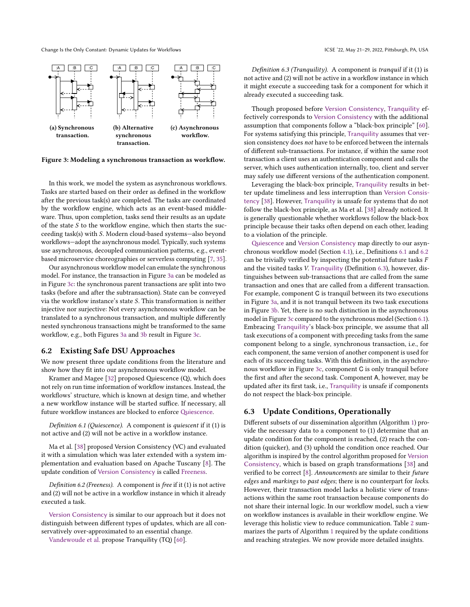

Figure 3: Modeling a synchronous transaction as workflow.

In this work, we model the system as asynchronous workflows. Tasks are started based on their order as defined in the workflow after the previous task(s) are completed. The tasks are coordinated by the workflow engine, which acts as an event-based middleware. Thus, upon completion, tasks send their results as an update of the state  $S$  to the workflow engine, which then starts the succeeding task(s) with S. Modern cloud-based systems-also beyond workflows-adopt the asynchronous model. Typically, such systems use asynchronous, decoupled communication patterns, e.g., eventbased microservice choreographies or serverless computing [7, 35].

Our asynchronous workflow model can emulate the synchronous model. For instance, the transaction in Figure 3a can be modeled as in Figure 3c: the synchronous parent transactions are split into two tasks (before and after the subtransaction). State can be conveyed via the workflow instance's state  $S$ . This transformation is neither injective nor surjective: Not every asynchronous workflow can be translated to a synchronous transaction, and multiple differently nested synchronous transactions might be transformed to the same workflow, e.g., both Figures 3a and 3b result in Figure 3c.

## 6.2 Existing Safe DSU Approaches

We now present three update conditions from the literature and show how they fit into our asynchronous workflow model.

Kramer and Magee [32] proposed Quiescence (Q), which does not rely on run time information of workflow instances. Instead, the workflows' structure, which is known at design time, and whether a new workflow instance will be started suffice. If necessary, all future workflow instances are blocked to enforce Quiescence.

Definition 6.1 (Quiescence). A component is quiescent if it (1) is not active and (2) will not be active in a workflow instance.

Ma et al. [38] proposed Version Consistency (VC) and evaluated it with a simulation which was later extended with a system implementation and evaluation based on Apache Tuscany [8]. The update condition of Version Consistency is called Freeness.

Definition 6.2 (Freeness). A component is free if it (1) is not active and (2) will not be active in a workflow instance in which it already executed a task.

Version Consistency is similar to our approach but it does not distinguish between different types of updates, which are all conservatively over-approximated to an essential change.

Vandewoude et al. propose Tranquility (TQ) [60].

Definition 6.3 (Tranquility). A component is tranquil if it (1) is not active and (2) will not be active in a workflow instance in which it might execute a succeeding task for a component for which it already executed a succeeding task.

Though proposed before Version Consistency, Tranquility effectively corresponds to Version Consistency with the additional assumption that components follow a "black-box principle" [60]. For systems satisfying this principle, Tranquility assumes that version consistency does not have to be enforced between the internals of different sub-transactions. For instance, if within the same root transaction a client uses an authentication component and calls the server, which uses authentication internally, too, client and server may safely use different versions of the authentication component.

Leveraging the black-box principle, Tranquility results in better update timeliness and less interruption than Version Consistency [38]. However, Tranquility is unsafe for systems that do not follow the black-box principle, as Ma et al. [38] already noticed. It is generally questionable whether workflows follow the black-box principle because their tasks often depend on each other, leading to a violation of the principle.

Quiescence and Version Consistency map directly to our asynchronous workflow model (Section 4.1), i.e., Definitions 6.1 and 6.2 can be trivially verified by inspecting the potential future tasks  $F$ and the visited tasks V. Tranquility (Definition 6.3), however, distinguishes between sub-transactions that are called from the same transaction and ones that are called from a different transaction. For example, component C is tranquil between its two executions in Figure 3a, and it is not tranquil between its two task executions in Figure 3b. Yet, there is no such distinction in the asynchronous model in Figure 3c compared to the synchronous model (Section 6.1). Embracing Tranquility's black-box principle, we assume that all task executions of a component with preceding tasks from the same component belong to a single, synchronous transaction, i.e., for each component, the same version of another component is used for each of its succeeding tasks. With this definition, in the asynchronous workflow in Figure 3c, component C is only tranquil before the first and after the second task. Component A, however, may be updated after its first task, i.e., Tranquility is unsafe if components do not respect the black-box principle.

## 6.3 Update Conditions, Operationally

Different subsets of our dissemination algorithm (Algorithm 1) provide the necessary data to a component to (1) determine that an update condition for the component is reached, (2) reach the condition (quicker), and (3) uphold the condition once reached. Our algorithm is inspired by the control algorithm proposed for Version Consistency, which is based on graph transformations [38] and verified to be correct [8]. Announcements are similar to their future edges and markings to past edges; there is no counterpart for locks. However, their transaction model lacks a holistic view of transactions within the same root transaction because components do not share their internal logic. In our workflow model, such a view on workflow instances is available in their workflow engine. We leverage this holistic view to reduce communication. Table 2 summarizes the parts of Algorithm 1 required by the update conditions and reaching strategies. We now provide more detailed insights.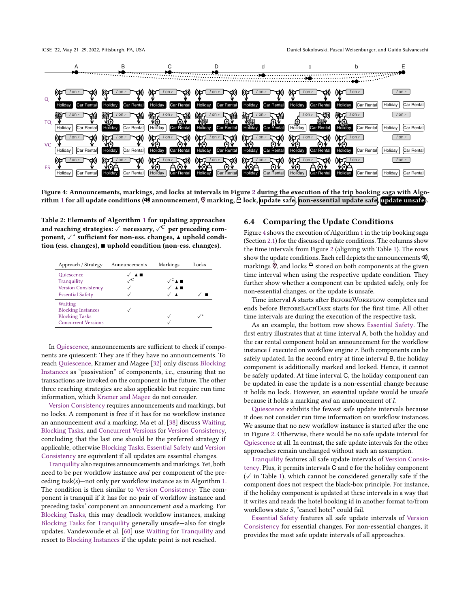

Figure 4: Announcements, markings, and locks at intervals in Figure 2 during the execution of the trip booking saga with Algorithm 1 for all update conditions ( $\heartsuit$ ) announcement,  $\heartsuit$  marking,  $\triangle$  lock, update safe, non-essential update safe, update unsafe).

Table 2: Elements of Algorithm 1 for updating approaches and reaching strategies:  $\checkmark$  necessary,  $\checkmark$ <sup>C</sup> per preceding component, ✓\* sufficient for non-ess. changes, ▲ uphold condition (ess. changes), ■ uphold condition (non-ess. changes).

| Approach / Strategy                                 | Announcements | Markings                                      | Locks |
|-----------------------------------------------------|---------------|-----------------------------------------------|-------|
| Quiescence                                          | ✓▴◼           | $\mathscr{S}_{\blacktriangle}$ $\blacksquare$ |       |
| Tranquility<br><b>Version Consistency</b>           |               | $\blacktriangle$ $\blacksquare$               |       |
| <b>Essential Safety</b>                             |               |                                               |       |
| Waiting<br><b>Blocking Instances</b>                |               |                                               |       |
| <b>Blocking Tasks</b><br><b>Concurrent Versions</b> |               |                                               |       |

In Quiescence, announcements are sufficient to check if components are quiescent: They are if they have no announcements. To reach Quiescence, Kramer and Magee [32] only discuss Blocking Instances as "passivation" of components, i.e., ensuring that no transactions are invoked on the component in the future. The other three reaching strategies are also applicable but require run time information, which Kramer and Magee do not consider.

Version Consistency requires announcements and markings, but no locks. A component is free if it has for no workflow instance an announcement and a marking. Ma et al. [38] discuss Waiting, Blocking Tasks, and Concurrent Versions for Version Consistency, concluding that the last one should be the preferred strategy if applicable, otherwise Blocking Tasks. Essential Safety and Version Consistency are equivalent if all updates are essential changes.

Tranquility also requires announcements and markings. Yet, both need to be per workflow instance and per component of the preceding task(s)—not only per workflow instance as in Algorithm 1. The condition is then similar to Version Consistency: The component is tranquil if it has for no pair of workflow instance and preceding tasks' component an announcement and a marking. For Blocking Tasks, this may deadlock workflow instances, making Blocking Tasks for Tranquility generally unsafe-also for single updates. Vandewoude et al. [60] use Waiting for Tranquility and resort to Blocking Instances if the update point is not reached.

# 6.4 Comparing the Update Conditions

Figure 4 shows the execution of Algorithm 1 in the trip booking saga (Section 2.1) for the discussed update conditions. The columns show the time intervals from Figure 2 (aligning with Table 1). The rows show the update conditions. Each cell depicts the announcements  $\ket{\phi}$ , markings  $\heartsuit$ , and locks  $\triangle$  stored on both components at the given time interval when using the respective update condition. They further show whether a component can be updated safely, only for non-essential changes, or the update is unsafe.

Time interval A starts after BEFOREWORKFLOW completes and ends before BeforeEachTask starts for the first time. All other time intervals are during the execution of the respective task.

As an example, the bottom row shows Essential Safety. The first entry illustrates that at time interval A, both the holiday and the car rental component hold an announcement for the workflow instance  $I$  executed on workflow engine  $r$ . Both components can be safely updated. In the second entry at time interval B, the holiday component is additionally marked and locked. Hence, it cannot be safely updated. At time interval C, the holiday component can be updated in case the update is a non-essential change because it holds no lock. However, an essential update would be unsafe because it holds a marking  $and$  an announcement of  $I$ .

Quiescence exhibits the fewest safe update intervals because it does not consider run time information on workflow instances. We assume that no new workflow instance is started after the one in Figure 2. Otherwise, there would be no safe update interval for Quiescence at all. In contrast, the safe update intervals for the other approaches remain unchanged without such an assumption.

Tranquility features all safe update intervals of Version Consistency. Plus, it permits intervals C and c for the holiday component ( $\neq$  in Table 1), which cannot be considered generally safe if the component does not respect the black-box principle. For instance, if the holiday component is updated at these intervals in a way that it writes and reads the hotel booking id in another format to/from workflows state  $S$ , "cancel hotel" could fail.

Essential Safety features all safe update intervals of Version Consistency for essential changes. For non-essential changes, it provides the most safe update intervals of all approaches.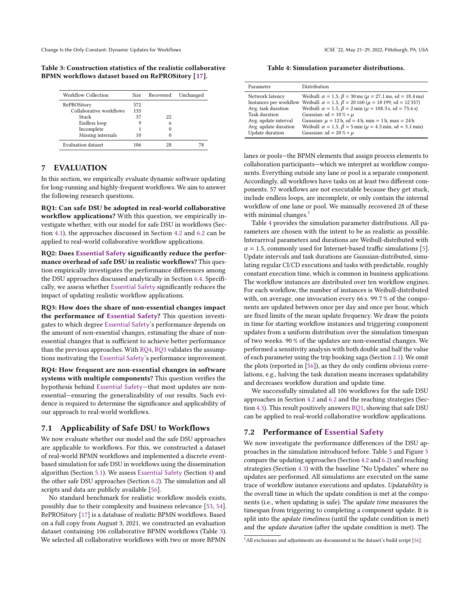Table 3: Construction statistics of the realistic collaborative BPMN workflows dataset based on RePROSitory [17].

| Workflow Collection     | Size. | Recovered | Unchanged |
|-------------------------|-------|-----------|-----------|
| RePROSitory             | 572   |           |           |
| Collaborative workflows | 135   |           |           |
| Stuck                   | 37    | 22        |           |
| Endless loop            | 9     | 6         |           |
| Incomplete              |       |           |           |
| Missing internals       | 10    |           |           |
| Evaluation dataset      | 106   | 28        | 78        |

# 7 EVALUATION

In this section, we empirically evaluate dynamic software updating for long-running and highly-frequent workflows. We aim to answer the following research questions.

RQ1: Can safe DSU be adopted in real-world collaborative workflow applications? With this question, we empirically investigate whether, with our model for safe DSU in workflows (Section 4.1), the approaches discussed in Section 4.2 and 6.2 can be applied to real-world collaborative workflow applications.

RQ2: Does Essential Safety significantly reduce the performance overhead of safe DSU in realistic workflows? This question empirically investigates the performance differences among the DSU approaches discussed analytically in Section 6.4. Specifically, we assess whether Essential Safety significantly reduces the impact of updating realistic workflow applications.

RQ3: How does the share of non-essential changes impact the performance of Essential Safety? This question investigates to which degree Essential Safety's performance depends on the amount of non-essential changes, estimating the share of nonessential changes that is sufficient to achieve better performance than the previous approaches. With RQ4, RQ3 validates the assumptions motivating the Essential Safety's performance improvement.

RQ4: How frequent are non-essential changes in software systems with multiple components? This question verifies the hypothesis behind Essential Safety-that most updates are nonessential–ensuring the generalizability of our results. Such evidence is required to determine the significance and applicability of our approach to real-world workflows.

### 7.1 Applicability of Safe DSU to Workflows

We now evaluate whether our model and the safe DSU approaches are applicable to workflows. For this, we constructed a dataset of real-world BPMN workflows and implemented a discrete eventbased simulation for safe DSU in workflows using the dissemination algorithm (Section 5.1). We assess Essential Safety (Section 4) and the other safe DSU approaches (Section 6.2). The simulation and all scripts and data are publicly available [56].

No standard benchmark for realistic workflow models exists, possibly due to their complexity and business relevance [53, 54]. RePROSitory [17] is a database of realistic BPMN workflows. Based on a full copy from August 3, 2021, we constructed an evaluation dataset containing 106 collaborative BPMN workflows (Table 3). We selected all collaborative workflows with two or more BPMN

Table 4: Simulation parameter distributions.

| Parameter                                                                                                                        | Distribution                                                                                                                                                                                                                                                                                                                                                                                                                           |
|----------------------------------------------------------------------------------------------------------------------------------|----------------------------------------------------------------------------------------------------------------------------------------------------------------------------------------------------------------------------------------------------------------------------------------------------------------------------------------------------------------------------------------------------------------------------------------|
| Network latency<br>Instances per workflow<br>Avg. task duration<br>Task duration<br>Avg. update interval<br>Avg. update duration | Weibull: $\alpha = 1.5$ , $\beta = 30$ ms ( $\mu = 27.1$ ms, sd = 18.4 ms)<br>Weibull: $\alpha = 1.5$ , $\beta = 20160$ ( $\mu = 18199$ , sd = 12357)<br>Weibull: $\alpha = 1.5$ , $\beta = 2 \text{ min } (\mu = 108.3 \text{ s}, \text{ sd} = 73.6 \text{ s})$<br>Gaussian: sd = $10\%*\mu$<br>Gaussian: $\mu = 12$ h, sd = 4 h, min = 1 h, max = 24 h<br>Weibull: $\alpha = 1.5$ , $\beta = 5$ min ( $\mu = 4.5$ min, sd = 3.1 min) |
| Update duration                                                                                                                  | Gaussian: sd = 20 % $*$ $\mu$                                                                                                                                                                                                                                                                                                                                                                                                          |

lanes or pools-the BPMN elements that assign process elements to collaboration participants-which we interpret as workflow components. Everything outside any lane or pool is a separate component. Accordingly, all workflows have tasks on at least two different components. 57 workflows are not executable because they get stuck, include endless loops, are incomplete, or only contain the internal workflow of one lane or pool. We manually recovered 28 of these with minimal changes.<sup>1</sup>

Table 4 provides the simulation parameter distributions. All parameters are chosen with the intent to be as realistic as possible. Interarrival parameters and durations are Weibull-distributed with  $\alpha$  = 1.5, commonly used for Internet-based traffic simulations [5]. Update intervals and task durations are Gaussian-distributed, simulating regular CI/CD executions and tasks with predictable, roughly constant execution time, which is common in business applications. The workflow instances are distributed over ten workflow engines. For each workflow, the number of instances is Weibull-distributed with, on average, one invocation every 66 s. 99.7 % of the components are updated between once per day and once per hour, which are fixed limits of the mean update frequency. We draw the points in time for starting workflow instances and triggering component updates from a uniform distribution over the simulation timespan of two weeks. 90 % of the updates are non-essential changes. We performed a sensitivity analysis with both double and half the value of each parameter using the trip booking saga (Section 2.1). We omit the plots (reported in [56]), as they do only confirm obvious correlations, e.g., halving the task duration means increases updatability and decreases workflow duration and update time.

We successfully simulated all 106 workflows for the safe DSU approaches in Section 4.2 and 6.2 and the reaching strategies (Section 4.3). This result positively answers RQ1, showing that safe DSU can be applied to real-world collaborative workflow applications.

## 7.2 Performance of Essential Safety

We now investigate the performance differences of the DSU approaches in the simulation introduced before. Table 5 and Figure 5 compare the updating approaches (Section 4.2 and 6.2) and reaching strategies (Section 4.3) with the baseline "No Updates" where no updates are performed. All simulations are executed on the same trace of workflow instance executions and updates. Updatability is the overall time in which the update condition is met at the components (i.e., when updating is safe). The update time measures the timespan from triggering to completing a component update. It is split into the *update timeliness* (until the update condition is met) and the update duration (after the update condition is met). The

 $1$ All exclusions and adjustments are documented in the dataset's build script [56].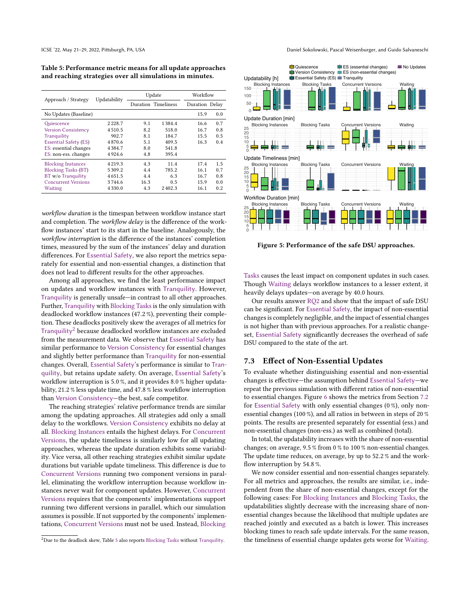Table 5: Performance metric means for all update approaches and reaching strategies over all simulations in minutes.

| Approach / Strategy          | Updatability | Update |                     | Workflow       |     |
|------------------------------|--------------|--------|---------------------|----------------|-----|
|                              |              |        | Duration Timeliness | Duration Delay |     |
| No Updates (Baseline)        |              |        |                     | 15.9           | 0.0 |
| Quiescence                   | 2 2 2 8 .7   | 9.1    | 1 3 8 4 . 4         | 16.6           | 0.7 |
| <b>Version Consistency</b>   | 4510.5       | 8.2    | 518.0               | 16.7           | 0.8 |
| Tranquility                  | 902.7        | 8.1    | 184.7               | 15.5           | 0.5 |
| <b>Essential Safety (ES)</b> | 4870.6       | 5.1    | 409.5               | 16.3           | 0.4 |
| ES: essential changes        | 4384.7       | 8.0    | 541.8               |                |     |
| ES: non-ess. changes         | 4924.6       | 4.8    | 395.4               |                |     |
| <b>Blocking Instances</b>    | 4 2 1 9 . 3  | 4.3    | 11.4                | 17.4           | 1.5 |
| <b>Blocking Tasks (BT)</b>   | 5309.2       | 4.4    | 785.2               | 16.1           | 0.7 |
| <b>BT</b> w/o Tranquility    | 4651.5       | 4.4    | 6.3                 | 16.7           | 0.8 |
| <b>Concurrent Versions</b>   | 3744.6       | 16.3   | 0.5                 | 15.9           | 0.0 |
| Waiting                      | 4 3 3 0 . 0  | 4.3    | 2402.3              | 16.1           | 0.2 |

workflow duration is the timespan between workflow instance start and completion. The workflow delay is the difference of the workflow instances' start to its start in the baseline. Analogously, the workflow interruption is the difference of the instances' completion times, measured by the sum of the instances' delay and duration differences. For Essential Safety, we also report the metrics separately for essential and non-essential changes, a distinction that does not lead to different results for the other approaches.

Among all approaches, we find the least performance impact on updates and workflow instances with Tranquility. However, Tranquility is generally unsafe—in contrast to all other approaches. Further, Tranquility with Blocking Tasks is the only simulation with deadlocked workflow instances (47.2 %), preventing their completion. These deadlocks positively skew the averages of all metrics for Tranquility<sup>2</sup> because deadlocked workflow instances are excluded from the measurement data. We observe that Essential Safety has similar performance to Version Consistency for essential changes and slightly better performance than Tranquility for non-essential changes. Overall, Essential Safety's performance is similar to Tranquility, but retains update safety. On average, Essential Safety's workflow interruption is 5.0 %, and it provides 8.0 % higher updatability, 21.2 % less update time, and 47.8 % less workflow interruption than Version Consistency-the best, safe competitor.

The reaching strategies' relative performance trends are similar among the updating approaches. All strategies add only a small delay to the workflows. Version Consistency exhibits no delay at all. Blocking Instances entails the highest delays. For Concurrent Versions, the update timeliness is similarly low for all updating approaches, whereas the update duration exhibits some variability. Vice versa, all other reaching strategies exhibit similar update durations but variable update timeliness. This difference is due to Concurrent Versions running two component versions in parallel, eliminating the workflow interruption because workflow instances never wait for component updates. However, Concurrent Versions requires that the components' implementations support running two different versions in parallel, which our simulation assumes is possible. If not supported by the components' implementations, Concurrent Versions must not be used. Instead, Blocking

ICSE '22, May 21-29, 2022, Pittsburgh, PA, USA Daniel Sokolowski, Pascal Weisenburger, and Guido Salvaneschi



Figure 5: Performance of the safe DSU approaches.

Tasks causes the least impact on component updates in such cases. Though Waiting delays workflow instances to a lesser extent, it heavily delays updates-on average by 40.0 hours.

Our results answer RQ2 and show that the impact of safe DSU can be significant. For Essential Safety, the impact of non-essential changes is completely negligible, and the impact of essential changes is not higher than with previous approaches. For a realistic changeset, Essential Safety significantly decreases the overhead of safe DSU compared to the state of the art.

## 7.3 Effect of Non-Essential Updates

To evaluate whether distinguishing essential and non-essential changes is effective-the assumption behind Essential Safety-we repeat the previous simulation with different ratios of non-essential to essential changes. Figure 6 shows the metrics from Section 7.2 for Essential Safety with only essential changes (0 %), only nonessential changes (100 %), and all ratios in between in steps of 20 % points. The results are presented separately for essential (ess.) and non-essential changes (non-ess.) as well as combined (total).

In total, the updatability increases with the share of non-essential changes; on average, 9.5 % from 0 % to 100 % non-essential changes. The update time reduces, on average, by up to 52.2 % and the workflow interruption by 54.8 %.

We now consider essential and non-essential changes separately. For all metrics and approaches, the results are similar, i.e., independent from the share of non-essential changes, except for the following cases: For Blocking Instances and Blocking Tasks, the updatabilities slightly decrease with the increasing share of nonessential changes because the likelihood that multiple updates are reached jointly and executed as a batch is lower. This increases blocking times to reach safe update intervals. For the same reason, the timeliness of essential change updates gets worse for Waiting.

<sup>&</sup>lt;sup>2</sup>Due to the deadlock skew, Table 5 also reports Blocking Tasks without Tranquility.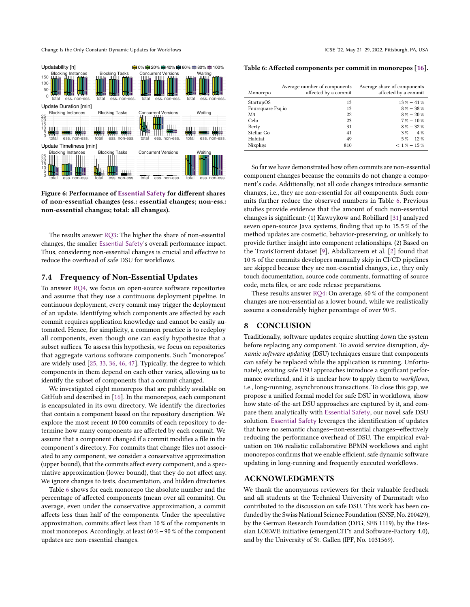

Figure 6: Performance of Essential Safety for different shares of non-essential changes (ess.: essential changes; non-ess.: non-essential changes; total: all changes).

The results answer RQ3: The higher the share of non-essential changes, the smaller Essential Safety's overall performance impact. Thus, considering non-essential changes is crucial and effective to reduce the overhead of safe DSU for workflows.

## 7.4 Frequency of Non-Essential Updates

To answer RQ4, we focus on open-source software repositories and assume that they use a continuous deployment pipeline. In continuous deployment, every commit may trigger the deployment of an update. Identifying which components are affected by each commit requires application knowledge and cannot be easily automated. Hence, for simplicity, a common practice is to redeploy all components, even though one can easily hypothesize that a subset suffices. To assess this hypothesis, we focus on repositories that aggregate various software components. Such "monorepos" are widely used [25, 33, 36, 46, 47]. Typically, the degree to which components in them depend on each other varies, allowing us to identify the subset of components that a commit changed.

We investigated eight monorepos that are publicly available on GitHub and described in [16]. In the monorepos, each component is encapsulated in its own directory. We identify the directories that contain a component based on the repository description. We explore the most recent 10 000 commits of each repository to determine how many components are affected by each commit. We assume that a component changed if a commit modifies a file in the component's directory. For commits that change files not associated to any component, we consider a conservative approximation (upper bound), that the commits affect every component, and a speculative approximation (lower bound), that they do not affect any. We ignore changes to tests, documentation, and hidden directories.

Table 6 shows for each monorepo the absolute number and the percentage of affected components (mean over all commits). On average, even under the conservative approximation, a commit affects less than half of the components. Under the speculative approximation, commits affect less than 10 % of the components in most monorepos. Accordingly, at least 60 %−90 % of the component updates are non-essential changes.

Table 6: Affected components per commit in monorepos [16].

| Monorepo          | Average number of components<br>affected by a commit | Average share of components<br>affected by a commit |
|-------------------|------------------------------------------------------|-----------------------------------------------------|
| StartupOS         | 13                                                   | $13\% - 41\%$                                       |
| Foursquare Fsq.io | 13                                                   | $8\% - 38\%$                                        |
| M <sub>3</sub>    | 22                                                   | $8\% - 20\%$                                        |
| Celo              | 23                                                   | $7\% - 10\%$                                        |
| Berty             | 31                                                   | $8\% - 32\%$                                        |
| Stellar Go        | 41                                                   | $3\% - 4\%$                                         |
| Habitat           | 49                                                   | $5\% - 12\%$                                        |
| Nixpkgs           | 810                                                  | $< 1 \% - 15 \%$                                    |

So far we have demonstrated how often commits are non-essential component changes because the commits do not change a component's code. Additionally, not all code changes introduce semantic changes, i.e., they are non-essential for all components. Such commits further reduce the observed numbers in Table 6. Previous studies provide evidence that the amount of such non-essential changes is significant: (1) Kawrykow and Robillard [31] analyzed seven open-source Java systems, finding that up to 15.5 % of the method updates are cosmetic, behavior-preserving, or unlikely to provide further insight into component relationships. (2) Based on the TravisTorrent dataset [9], Abdalkareem et al. [2] found that 10 % of the commits developers manually skip in CI/CD pipelines are skipped because they are non-essential changes, i.e., they only touch documentation, source code comments, formatting of source code, meta files, or are code release preparations.

These results answer RQ4: On average, 60 % of the component changes are non-essential as a lower bound, while we realistically assume a considerably higher percentage of over 90 %.

## 8 CONCLUSION

Traditionally, software updates require shutting down the system before replacing any component. To avoid service disruption,  $dy$ namic software updating (DSU) techniques ensure that components can safely be replaced while the application is running. Unfortunately, existing safe DSU approaches introduce a significant performance overhead, and it is unclear how to apply them to workflows, i.e., long-running, asynchronous transactions. To close this gap, we propose a unified formal model for safe DSU in workflows, show how state-of-the-art DSU approaches are captured by it, and compare them analytically with Essential Safety, our novel safe DSU solution. Essential Safety leverages the identification of updates that have no semantic changes-non-essential changes-effectively reducing the performance overhead of DSU. The empirical evaluation on 106 realistic collaborative BPMN workflows and eight monorepos confirms that we enable efficient, safe dynamic software updating in long-running and frequently executed workflows.

## ACKNOWLEDGMENTS

We thank the anonymous reviewers for their valuable feedback and all students at the Technical University of Darmstadt who contributed to the discussion on safe DSU. This work has been cofunded by the Swiss National Science Foundation (SNSF, No. 200429), by the German Research Foundation (DFG, SFB 1119), by the Hessian LOEWE initiative (emergenCITY and Software-Factory 4.0), and by the University of St. Gallen (IPF, No. 1031569).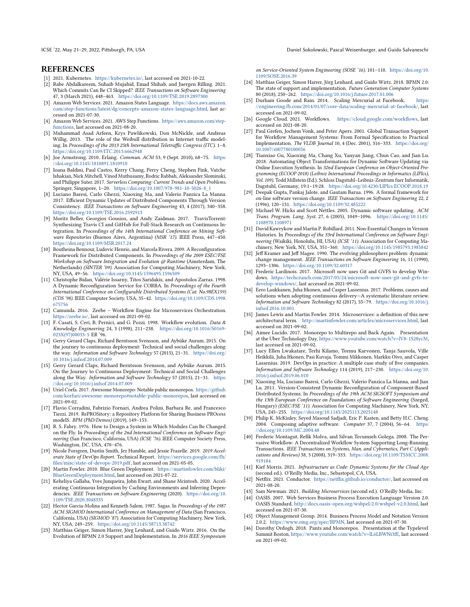ICSE '22, May 21-29, 2022, Pittsburgh, PA, USA Daniel Sokolowski, Pascal Weisenburger, and Guido Salvaneschi

# **REFERENCES**

- [1] 2021. Kubernetes. https://kubernetes.io/, last accessed on 2021-10-22.
- [2] Rabe Abdalkareem, Suhaib Mujahid, Emad Shihab, and Juergen Rilling. 2021. Which Commits Can Be CI Skipped? IEEE Transactions on Software Engineering 47, 3 (March 2021), 448-463. https://doi.org/10.1109/TSE.2019.2897300
- [3] Amazon Web Services. 2021. Amazon States Language. https://docs.aws.amazon. com/step-functions/latest/dg/concepts-amazon-states-language.html, last accessed on 2021-07-30.
- [4] Amazon Web Services. 2021. AWS Step Functions. https://aws.amazon.com/stepfunctions, last accessed on 2021-08-20.
- [5] Muhammad Asad Arfeen, Krys Pawlikowski, Don McNickle, and Andreas Willig. 2013. The role of the Weibull distribution in Internet traffic modeling. In Proceedings of the 2013 25th International Teletraffic Congress (ITC). 1-8. https://doi.org/10.1109/ITC.2013.6662948
- [6] Joe Armstrong. 2010. Erlang. Commun.  $ACM$  53, 9 (Sept. 2010), 68-75. https: //doi.org/10.1145/1810891.1810910
- [7] Ioana Baldini, Paul Castro, Kerry Chang, Perry Cheng, Stephen Fink, Vatche Ishakian, Nick Mitchell, Vinod Muthusamy, Rodric Rabbah, Aleksander Slominski, and Philippe Suter. 2017. Serverless Computing: Current Trends and Open Problems. Springer, Singapore, 1-20. https://doi.org/10.1007/978-981-10-5026-8\_1
- [8] Luciano Baresi, Carlo Ghezzi, Xiaoxing Ma, and Valerio Panzica La Manna. 2017. Efficient Dynamic Updates of Distributed Components Through Version Consistency. IEEE Transactions on Software Engineering 43, 4 (2017), 340-358. https://doi.org/10.1109/TSE.2016.2592913
- [9] Moritz Beller, Georgios Gousios, and Andy Zaidman. 2017. TravisTorrent: Synthesizing Travis CI and GitHub for Full-Stack Research on Continuous Integration. In Proceedings of the 14th International Conference on Mining Software Repositories (Buenos Aires, Argentina) (MSR '17). IEEE Press, 447-450. https://doi.org/10.1109/MSR.2017.24
- [10] Boutheina Bennour, Ludovic Henrio, and Marcela Rivera. 2009. A Reconfiguration Framework for Distributed Components. In Proceedings of the 2009 ESEC/FSE Workshop on Software Integration and Evolution @ Runtime (Amsterdam, The Netherlands) (SINTER '09). Association for Computing Machinery, New York, NY, USA, 49-56. https://doi.org/10.1145/1596495.1596509
- [11] Christophe Bidan, Valérie Issarny, Titos Saridakis, and Apostolos Zarras. 1998. A Dynamic Reconfiguration Service for CORBA. In Proceedings of the Fourth International Conference on Configurable Distributed Systems (Cat. No.98EX159) (CDS '98). IEEE Computer Society, USA, 35-42. https://doi.org/10.1109/CDS.1998. 675756
- [12] Camunda. 2016. Zeebe Workflow Engine for Microservices Orchestration. https://zeebe.io/, last accessed on 2021-09-02.
- [13] F. Casati, S. Ceri, B. Pernici, and G. Pozzi, 1998. Workflow evolution. Data & Knowledge Engineering 24, 3 (1998), 211-238. https://doi.org/10.1016/S0169-023X(97)00033-5 ER '96.
- [14] Gerry Gerard Claps, Richard Berntsson Svensson, and Aybüke Aurum. 2015. On the journey to continuous deployment: Technical and social challenges along the way. Information and Software Technology 57 (2015), 21-31. https://doi.org/ 10.1016/j.infsof.2014.07.009
- [15] Gerry Gerard Claps, Richard Berntsson Svensson, and Aybüke Aurum. 2015. On the Journey to Continuous Deployment: Technical and Social Challenges along the Way. Information and Software Technology 57 (2015), 21-31. https: //doi.org/10.1016/j.infsof.2014.07.009
- [16] Uriel Corfa. 2017. Awesome Monorepo: Notable public monorepos. https://github. com/korfuri/awesome-monorepo#notable-public-monorepos, last accessed on 2021-09-02.
- [17] Flavio Corradini, Fabrizio Fornari, Andrea Polini, Barbara Re, and Francesco Tiezzi. 2019. RePROSitory: a Repository Platform for Sharing Business PROcess modelS. BPM (PhD/Demos) (2019), 149-153.
- [18] R. S. Fabry. 1976. How to Design a System in Which Modules Can Be Changed on the Fly. In Proceedings of the 2nd International Conference on Software Engineering (San Francisco, California, USA) (ICSE '76). IEEE Computer Society Press, Washington, DC, USA, 470-476.
- [19] Nicole Forsgren, Dustin Smith, Jez Humble, and Jessie Frazelle. 2019. 2019 Accelerate State of DevOps Report. Technical Report. https://services.google.com/fh/ files/misc/state-of-devops-2019.pdf, last accessed on 2021-05-05.
- [20] Martin Fowler. 2010. Blue Green Deployment. https://martinfowler.com/bliki/ BlueGreenDeployment.html, last accessed on 2021-07-22.
- [21] Keheliya Gallaba, Yves Junqueira, John Ewart, and Shane Mcintosh. 2020. Accelerating Continuous Integration by Caching Environments and Inferring Dependencies. IEEE Transactions on Software Engineering (2020). https://doi.org/10. 1109/TSE.2020.3048335
- [22] Hector Garcia-Molina and Kenneth Salem. 1987. Sagas. In Proceedings of the 1987 ACM SIGMOD International Conference on Management of Data (San Francisco, California, USA) (SIGMOD '87). Association for Computing Machinery, New York, NY, USA, 249-259. https://doi.org/10.1145/38713.38742
- [23] Matthias Geiger, Simon Harrer, Jörg Lenhard, and Guido Wirtz. 2016. On the Evolution of BPMN 2.0 Support and Implementation. In 2016 IEEE Symposium

on Service-Oriented System Engineering (SOSE '16). 101-110. https://doi.org/10. 1109/SOSE.2016.39

- [24] Matthias Geiger, Simon Harrer, Jörg Lenhard, and Guido Wirtz. 2018. BPMN 2.0: The state of support and implementation. Future Generation Computer Systems 80 (2018), 250-262. https://doi.org/10.1016/j.future.2017.01.006
- [25] Durham Goode and Rain. 2014. Scaling Mercurial at Facebook. https: //engineering.fb.com/2014/01/07/core-data/scaling-mercurial-at-facebook/, last accessed on 2021-09-02.
- [26] Google Cloud. 2021. Workflows. https://cloud.google.com/workflows, last accessed on 2021-08-20.
- [27] Paul Grefen, Jochem Vonk, and Peter Apers. 2001. Global Transaction Support for Workflow Management Systems: From Formal Specification to Practical Implementation. The VLDB Journal 10, 4 (Dec. 2001), 316-333. https://doi.org/ 10.1007/s007780100056
- [28] Tianxiao Gu, Xiaoxing Ma, Chang Xu, Yanyan Jiang, Chun Cao, and Jian Lu. 2018. Automating Object Transformations for Dynamic Software Updating via Online Execution Synthesis. In 32nd European Conference on Object-Oriented Programming (ECOOP 2018) (Leibniz International Proceedings in Informatics (LIPIcs), Vol. 109), Todd Millstein (Ed.). Schloss Dagstuhl-Leibniz-Zentrum fuer Informatik, Dagstuhl, Germany, 19:1-19:28. https://doi.org/10.4230/LIPIcs.ECOOP.2018.19
- [29] Deepak Gupta, Pankaj Jalote, and Gautam Barua. 1996. A formal framework for on-line software version change. IEEE Transactions on Software Engineering 22, 2 (1996), 120-131. https://doi.org/10.1109/32.485222
- [30] Michael W. Hicks and Scott Nettles. 2005. Dynamic software updating. ACM Trans. Program. Lang. Syst. 27, 6 (2005), 1049-1096. https://doi.org/10.1145/ 1108970.1108971
- [31] David Kawrykow and Martin P. Robillard. 2011. Non-Essential Changes in Version Histories. In Proceedings of the 33rd International Conference on Software Engineering (Waikiki, Honolulu, HI, USA) (ICSE '11). Association for Computing Machinery, New York, NY, USA, 351-360. https://doi.org/10.1145/1985793.1985842
- [32] Jeff Kramer and Jeff Magee. 1990. The evolving philosophers problem: dynamic change management. IEEE Transactions on Software Engineering 16, 11 (1990), 1293-1306. https://doi.org/10.1109/32.60317
- [33] Frederic Lardinois. 2017. Microsoft now uses Git and GVFS to develop Windows. https://techcrunch.com/2017/05/24/microsoft-now-uses-git-and-gvfs-todevelop-windows/, last accessed on 2021-09-02.
- [34] Eero Laukkanen, Juha Itkonen, and Casper Lassenius. 2017. Problems, causes and solutions when adopting continuous delivery-A systematic literature review. Information and Software Technology 82 (2017), 55-79. https://doi.org/10.1016/j. infsof.2016.10.001
- [35] James Lewis and Martin Fowler. 2014. Microservices: a definition of this new architectural term. http://martinfowler.com/articles/microservices.html, last accessed on 2021-09-02.
- [36] Aimee Lucido. 2017. Monorepo to Multirepo and Back Again. Presentation at the Uber Technology Day, https://www.youtube.com/watch?v=lV8-1S28ycM, last accessed on 2021-09-02.
- [37] Lucy Ellen Lwakatare, Terhi Kilamo, Teemu Karvonen, Tanja Sauvola, Ville Heikkilä, Juha Itkonen, Pasi Kuvaja, Tommi Mikkonen, Markku Oivo, and Casper Lassenius. 2019. DevOps in practice: A multiple case study of five companies. Information and Software Technology 114 (2019), 217-230. https://doi.org/10. 1016/j.infsof.2019.06.010
- [38] Xiaoxing Ma, Luciano Baresi, Carlo Ghezzi, Valerio Panzica La Manna, and Jian Lu. 2011. Version-Consistent Dynamic Reconfiguration of Component-Based Distributed Systems. In Proceedings of the 19th ACM SIGSOFT Symposium and the 13th European Conference on Foundations of Software Engineering (Szeged, Hungary) (ESEC/FSE '11). Association for Computing Machinery, New York, NY, USA, 245-255. https://doi.org/10.1145/2025113.2025148
- [39] Philip K. McKinley, Seyed Masoud Sadjadi, Eric P. Kasten, and Betty H.C. Cheng. 2004. Composing adaptive software. Computer 37, 7 (2004), 56-64. https: //doi.org/10.1109/MC.2004.48
- [40] Frederic Montagut, Refik Molva, and Silvan Tecumseh Golega. 2008. The Pervasive Workflow: A Decentralized Workflow System Supporting Long-Running Transactions. IEEE Transactions on Systems, Man, and Cybernetics, Part C (Applications and Reviews) 38, 3 (2008), 319-333. https://doi.org/10.1109/TSMCC.2008. 919184
- [41] Kief Morris. 2021. Infrastructure as Code: Dynamic Systems for the Cloud Age (second ed.). O'Reilly Media, Inc., Sebastopol, CA, USA.
- [42] Netflix. 2021. Conductor. https://netflix.github.io/conductor/, last accessed on 2021-08-20.
- [43] Sam Newman. 2021. Building Microservices (second ed.). O'Reilly Media, Inc. [44] OASIS. 2007. Web Services Business Process Execution Language Version 2.0. OASIS Standard, http://docs.oasis-open.org/wsbpel/2.0/wsbpel-v2.0.html, last accessed on 2021-07-30.
- [45] Object Management Group. 2014. Business Process Model and Notation Version 2.0.2. https://www.omg.org/spec/BPMN, last accessed on 2021-07-30.
- [46] Dorothy Ordogh. 2018. Pants and Monorepos. Presentation at the Typelevel Summit Boston, https://www.youtube.com/watch?v=IL6LBWNi3fE, last accessed on 2021-09-02.